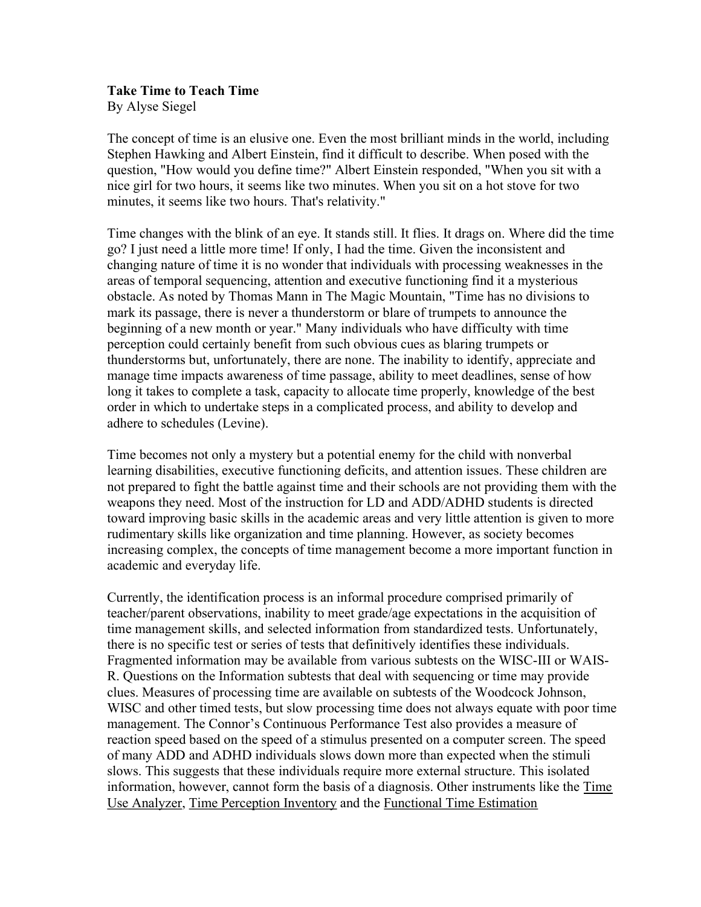#### Take Time to Teach Time By Alyse Siegel

The concept of time is an elusive one. Even the most brilliant minds in the world, including Stephen Hawking and Albert Einstein, find it difficult to describe. When posed with the question, "How would you define time?" Albert Einstein responded, "When you sit with a nice girl for two hours, it seems like two minutes. When you sit on a hot stove for two minutes, it seems like two hours. That's relativity."

Time changes with the blink of an eye. It stands still. It flies. It drags on. Where did the time go? I just need a little more time! If only, I had the time. Given the inconsistent and changing nature of time it is no wonder that individuals with processing weaknesses in the areas of temporal sequencing, attention and executive functioning find it a mysterious obstacle. As noted by Thomas Mann in The Magic Mountain, "Time has no divisions to mark its passage, there is never a thunderstorm or blare of trumpets to announce the beginning of a new month or year." Many individuals who have difficulty with time perception could certainly benefit from such obvious cues as blaring trumpets or thunderstorms but, unfortunately, there are none. The inability to identify, appreciate and manage time impacts awareness of time passage, ability to meet deadlines, sense of how long it takes to complete a task, capacity to allocate time properly, knowledge of the best order in which to undertake steps in a complicated process, and ability to develop and adhere to schedules (Levine).

Time becomes not only a mystery but a potential enemy for the child with nonverbal learning disabilities, executive functioning deficits, and attention issues. These children are not prepared to fight the battle against time and their schools are not providing them with the weapons they need. Most of the instruction for LD and ADD/ADHD students is directed toward improving basic skills in the academic areas and very little attention is given to more rudimentary skills like organization and time planning. However, as society becomes increasing complex, the concepts of time management become a more important function in academic and everyday life.

Currently, the identification process is an informal procedure comprised primarily of teacher/parent observations, inability to meet grade/age expectations in the acquisition of time management skills, and selected information from standardized tests. Unfortunately, there is no specific test or series of tests that definitively identifies these individuals. Fragmented information may be available from various subtests on the WISC-III or WAIS-R. Questions on the Information subtests that deal with sequencing or time may provide clues. Measures of processing time are available on subtests of the Woodcock Johnson, WISC and other timed tests, but slow processing time does not always equate with poor time management. The Connor's Continuous Performance Test also provides a measure of reaction speed based on the speed of a stimulus presented on a computer screen. The speed of many ADD and ADHD individuals slows down more than expected when the stimuli slows. This suggests that these individuals require more external structure. This isolated information, however, cannot form the basis of a diagnosis. Other instruments like the Time Use Analyzer, Time Perception Inventory and the Functional Time Estimation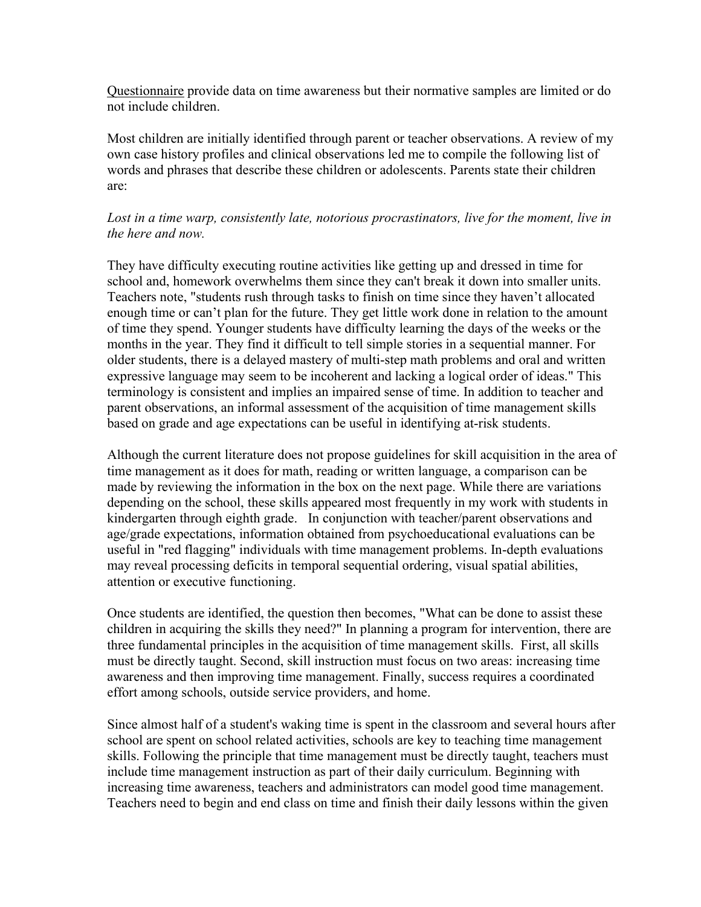Questionnaire provide data on time awareness but their normative samples are limited or do not include children.

Most children are initially identified through parent or teacher observations. A review of my own case history profiles and clinical observations led me to compile the following list of words and phrases that describe these children or adolescents. Parents state their children are:

# Lost in a time warp, consistently late, notorious procrastinators, live for the moment, live in the here and now.

They have difficulty executing routine activities like getting up and dressed in time for school and, homework overwhelms them since they can't break it down into smaller units. Teachers note, "students rush through tasks to finish on time since they haven't allocated enough time or can't plan for the future. They get little work done in relation to the amount of time they spend. Younger students have difficulty learning the days of the weeks or the months in the year. They find it difficult to tell simple stories in a sequential manner. For older students, there is a delayed mastery of multi-step math problems and oral and written expressive language may seem to be incoherent and lacking a logical order of ideas." This terminology is consistent and implies an impaired sense of time. In addition to teacher and parent observations, an informal assessment of the acquisition of time management skills based on grade and age expectations can be useful in identifying at-risk students.

Although the current literature does not propose guidelines for skill acquisition in the area of time management as it does for math, reading or written language, a comparison can be made by reviewing the information in the box on the next page. While there are variations depending on the school, these skills appeared most frequently in my work with students in kindergarten through eighth grade. In conjunction with teacher/parent observations and age/grade expectations, information obtained from psychoeducational evaluations can be useful in "red flagging" individuals with time management problems. In-depth evaluations may reveal processing deficits in temporal sequential ordering, visual spatial abilities, attention or executive functioning.

Once students are identified, the question then becomes, "What can be done to assist these children in acquiring the skills they need?" In planning a program for intervention, there are three fundamental principles in the acquisition of time management skills. First, all skills must be directly taught. Second, skill instruction must focus on two areas: increasing time awareness and then improving time management. Finally, success requires a coordinated effort among schools, outside service providers, and home.

Since almost half of a student's waking time is spent in the classroom and several hours after school are spent on school related activities, schools are key to teaching time management skills. Following the principle that time management must be directly taught, teachers must include time management instruction as part of their daily curriculum. Beginning with increasing time awareness, teachers and administrators can model good time management. Teachers need to begin and end class on time and finish their daily lessons within the given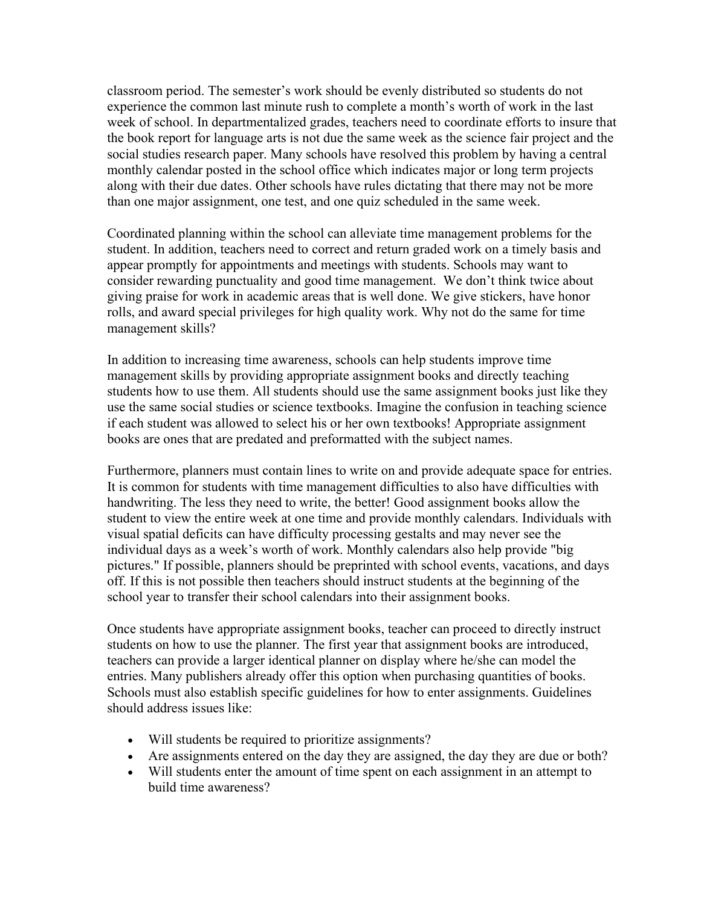classroom period. The semester's work should be evenly distributed so students do not experience the common last minute rush to complete a month's worth of work in the last week of school. In departmentalized grades, teachers need to coordinate efforts to insure that the book report for language arts is not due the same week as the science fair project and the social studies research paper. Many schools have resolved this problem by having a central monthly calendar posted in the school office which indicates major or long term projects along with their due dates. Other schools have rules dictating that there may not be more than one major assignment, one test, and one quiz scheduled in the same week.

Coordinated planning within the school can alleviate time management problems for the student. In addition, teachers need to correct and return graded work on a timely basis and appear promptly for appointments and meetings with students. Schools may want to consider rewarding punctuality and good time management. We don't think twice about giving praise for work in academic areas that is well done. We give stickers, have honor rolls, and award special privileges for high quality work. Why not do the same for time management skills?

In addition to increasing time awareness, schools can help students improve time management skills by providing appropriate assignment books and directly teaching students how to use them. All students should use the same assignment books just like they use the same social studies or science textbooks. Imagine the confusion in teaching science if each student was allowed to select his or her own textbooks! Appropriate assignment books are ones that are predated and preformatted with the subject names.

Furthermore, planners must contain lines to write on and provide adequate space for entries. It is common for students with time management difficulties to also have difficulties with handwriting. The less they need to write, the better! Good assignment books allow the student to view the entire week at one time and provide monthly calendars. Individuals with visual spatial deficits can have difficulty processing gestalts and may never see the individual days as a week's worth of work. Monthly calendars also help provide "big pictures." If possible, planners should be preprinted with school events, vacations, and days off. If this is not possible then teachers should instruct students at the beginning of the school year to transfer their school calendars into their assignment books.

Once students have appropriate assignment books, teacher can proceed to directly instruct students on how to use the planner. The first year that assignment books are introduced, teachers can provide a larger identical planner on display where he/she can model the entries. Many publishers already offer this option when purchasing quantities of books. Schools must also establish specific guidelines for how to enter assignments. Guidelines should address issues like:

- Will students be required to prioritize assignments?
- Are assignments entered on the day they are assigned, the day they are due or both?
- Will students enter the amount of time spent on each assignment in an attempt to build time awareness?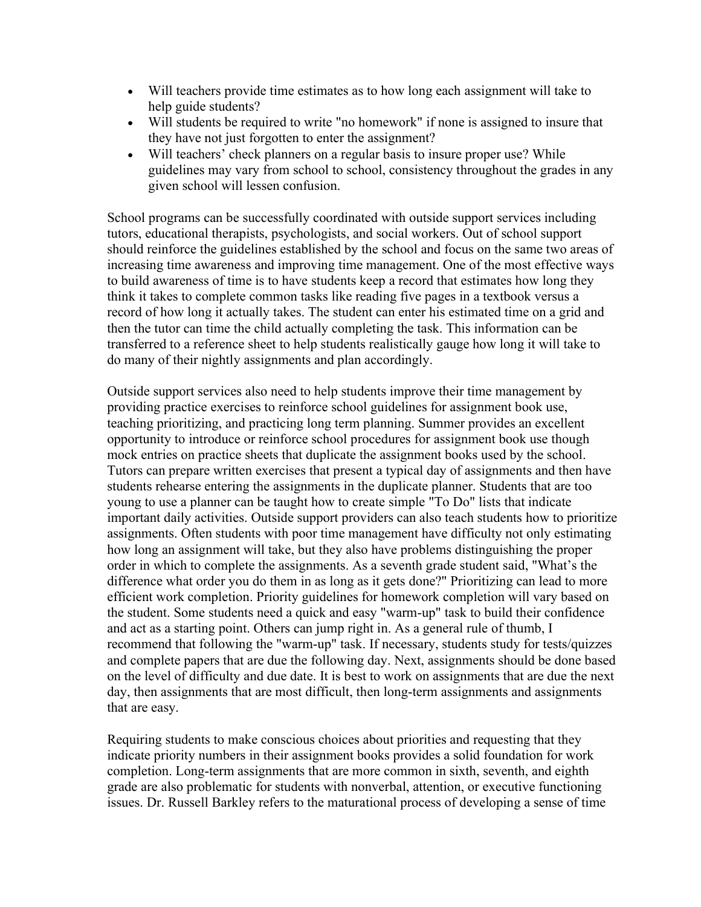- Will teachers provide time estimates as to how long each assignment will take to help guide students?
- Will students be required to write "no homework" if none is assigned to insure that they have not just forgotten to enter the assignment?
- Will teachers' check planners on a regular basis to insure proper use? While guidelines may vary from school to school, consistency throughout the grades in any given school will lessen confusion.

School programs can be successfully coordinated with outside support services including tutors, educational therapists, psychologists, and social workers. Out of school support should reinforce the guidelines established by the school and focus on the same two areas of increasing time awareness and improving time management. One of the most effective ways to build awareness of time is to have students keep a record that estimates how long they think it takes to complete common tasks like reading five pages in a textbook versus a record of how long it actually takes. The student can enter his estimated time on a grid and then the tutor can time the child actually completing the task. This information can be transferred to a reference sheet to help students realistically gauge how long it will take to do many of their nightly assignments and plan accordingly.

Outside support services also need to help students improve their time management by providing practice exercises to reinforce school guidelines for assignment book use, teaching prioritizing, and practicing long term planning. Summer provides an excellent opportunity to introduce or reinforce school procedures for assignment book use though mock entries on practice sheets that duplicate the assignment books used by the school. Tutors can prepare written exercises that present a typical day of assignments and then have students rehearse entering the assignments in the duplicate planner. Students that are too young to use a planner can be taught how to create simple "To Do" lists that indicate important daily activities. Outside support providers can also teach students how to prioritize assignments. Often students with poor time management have difficulty not only estimating how long an assignment will take, but they also have problems distinguishing the proper order in which to complete the assignments. As a seventh grade student said, "What's the difference what order you do them in as long as it gets done?" Prioritizing can lead to more efficient work completion. Priority guidelines for homework completion will vary based on the student. Some students need a quick and easy "warm-up" task to build their confidence and act as a starting point. Others can jump right in. As a general rule of thumb, I recommend that following the "warm-up" task. If necessary, students study for tests/quizzes and complete papers that are due the following day. Next, assignments should be done based on the level of difficulty and due date. It is best to work on assignments that are due the next day, then assignments that are most difficult, then long-term assignments and assignments that are easy.

Requiring students to make conscious choices about priorities and requesting that they indicate priority numbers in their assignment books provides a solid foundation for work completion. Long-term assignments that are more common in sixth, seventh, and eighth grade are also problematic for students with nonverbal, attention, or executive functioning issues. Dr. Russell Barkley refers to the maturational process of developing a sense of time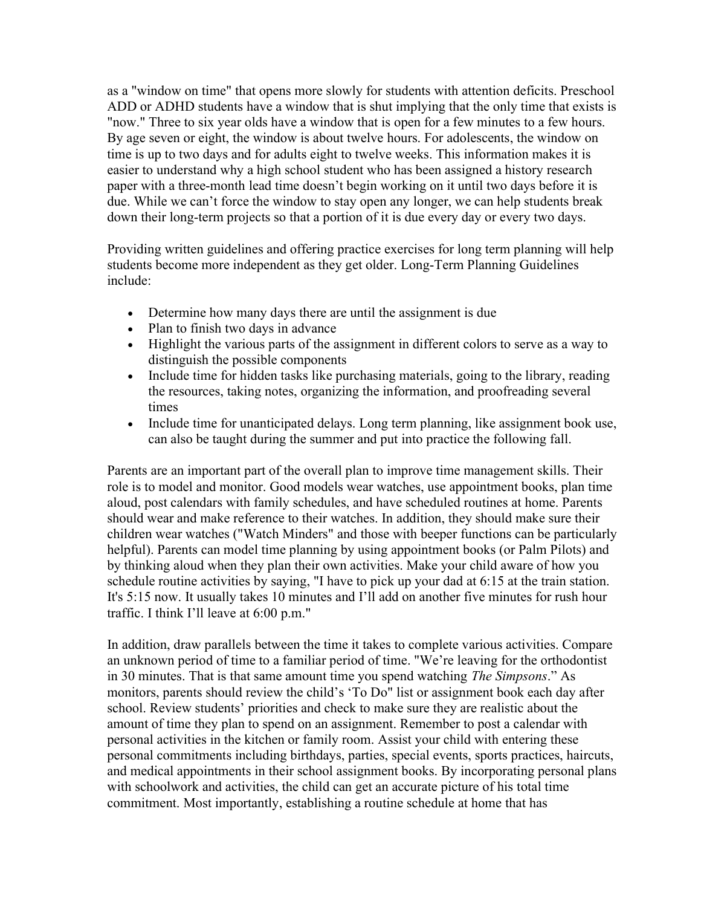as a "window on time" that opens more slowly for students with attention deficits. Preschool ADD or ADHD students have a window that is shut implying that the only time that exists is "now." Three to six year olds have a window that is open for a few minutes to a few hours. By age seven or eight, the window is about twelve hours. For adolescents, the window on time is up to two days and for adults eight to twelve weeks. This information makes it is easier to understand why a high school student who has been assigned a history research paper with a three-month lead time doesn't begin working on it until two days before it is due. While we can't force the window to stay open any longer, we can help students break down their long-term projects so that a portion of it is due every day or every two days.

Providing written guidelines and offering practice exercises for long term planning will help students become more independent as they get older. Long-Term Planning Guidelines include:

- Determine how many days there are until the assignment is due
- Plan to finish two days in advance
- Highlight the various parts of the assignment in different colors to serve as a way to distinguish the possible components
- Include time for hidden tasks like purchasing materials, going to the library, reading the resources, taking notes, organizing the information, and proofreading several times
- Include time for unanticipated delays. Long term planning, like assignment book use, can also be taught during the summer and put into practice the following fall.

Parents are an important part of the overall plan to improve time management skills. Their role is to model and monitor. Good models wear watches, use appointment books, plan time aloud, post calendars with family schedules, and have scheduled routines at home. Parents should wear and make reference to their watches. In addition, they should make sure their children wear watches ("Watch Minders" and those with beeper functions can be particularly helpful). Parents can model time planning by using appointment books (or Palm Pilots) and by thinking aloud when they plan their own activities. Make your child aware of how you schedule routine activities by saying, "I have to pick up your dad at 6:15 at the train station. It's 5:15 now. It usually takes 10 minutes and I'll add on another five minutes for rush hour traffic. I think I'll leave at 6:00 p.m."

In addition, draw parallels between the time it takes to complete various activities. Compare an unknown period of time to a familiar period of time. "We're leaving for the orthodontist in 30 minutes. That is that same amount time you spend watching *The Simpsons*." As monitors, parents should review the child's 'To Do" list or assignment book each day after school. Review students' priorities and check to make sure they are realistic about the amount of time they plan to spend on an assignment. Remember to post a calendar with personal activities in the kitchen or family room. Assist your child with entering these personal commitments including birthdays, parties, special events, sports practices, haircuts, and medical appointments in their school assignment books. By incorporating personal plans with schoolwork and activities, the child can get an accurate picture of his total time commitment. Most importantly, establishing a routine schedule at home that has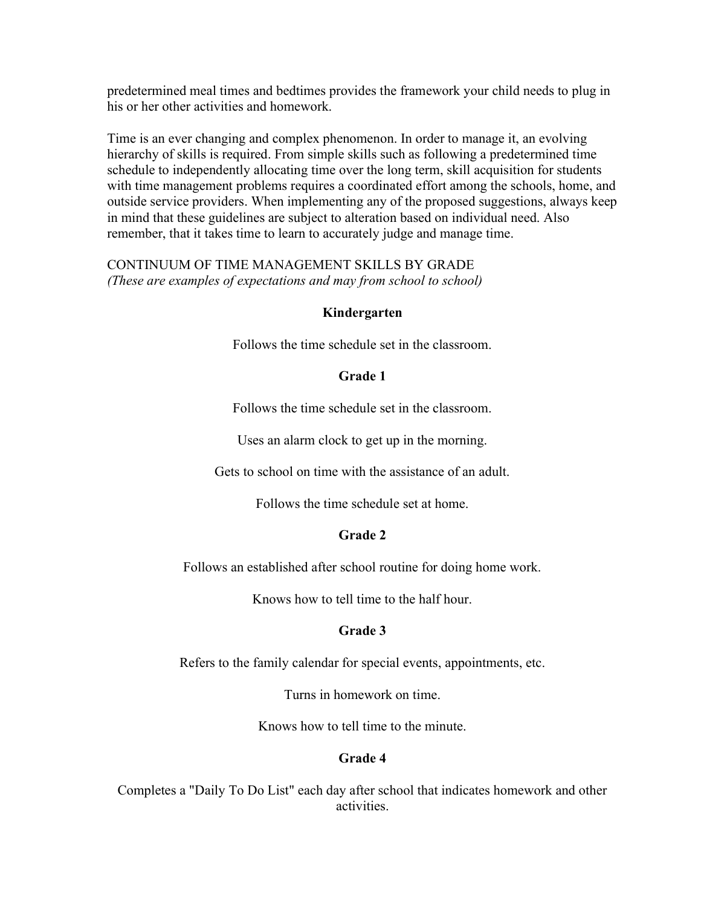predetermined meal times and bedtimes provides the framework your child needs to plug in his or her other activities and homework.

Time is an ever changing and complex phenomenon. In order to manage it, an evolving hierarchy of skills is required. From simple skills such as following a predetermined time schedule to independently allocating time over the long term, skill acquisition for students with time management problems requires a coordinated effort among the schools, home, and outside service providers. When implementing any of the proposed suggestions, always keep in mind that these guidelines are subject to alteration based on individual need. Also remember, that it takes time to learn to accurately judge and manage time.

### CONTINUUM OF TIME MANAGEMENT SKILLS BY GRADE (These are examples of expectations and may from school to school)

# Kindergarten

Follows the time schedule set in the classroom.

#### Grade 1

Follows the time schedule set in the classroom.

Uses an alarm clock to get up in the morning.

Gets to school on time with the assistance of an adult.

Follows the time schedule set at home.

# Grade 2

Follows an established after school routine for doing home work.

Knows how to tell time to the half hour.

# Grade 3

Refers to the family calendar for special events, appointments, etc.

Turns in homework on time.

Knows how to tell time to the minute.

#### Grade 4

Completes a "Daily To Do List" each day after school that indicates homework and other activities.